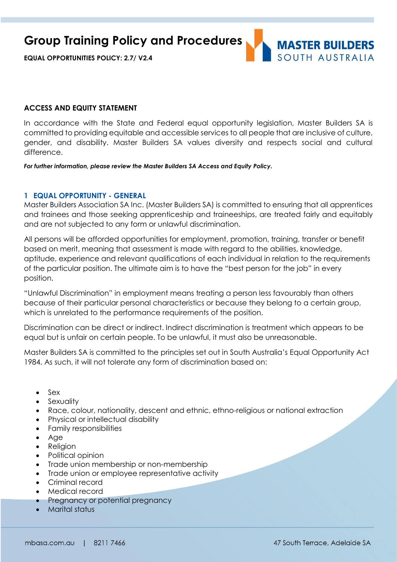**Group Training Policy and Procedures**

**EQUAL OPPORTUNITIES POLICY: 2.7/ V2.4**



## **ACCESS AND EQUITY STATEMENT**

In accordance with the State and Federal equal opportunity legislation, Master Builders SA is committed to providing equitable and accessible services to all people that are inclusive of culture, gender, and disability. Master Builders SA values diversity and respects social and cultural difference.

*For further information, please review the Master Builders SA Access and Equity Policy.*

## **1 EQUAL OPPORTUNITY - GENERAL**

Master Builders Association SA Inc. (Master Builders SA) is committed to ensuring that all apprentices and trainees and those seeking apprenticeship and traineeships, are treated fairly and equitably and are not subjected to any form or unlawful discrimination.

All persons will be afforded opportunities for employment, promotion, training, transfer or benefit based on merit, meaning that assessment is made with regard to the abilities, knowledge, aptitude, experience and relevant qualifications of each individual in relation to the requirements of the particular position. The ultimate aim is to have the "best person for the job" in every position.

"Unlawful Discrimination" in employment means treating a person less favourably than others because of their particular personal characteristics or because they belong to a certain group, which is unrelated to the performance requirements of the position.

Discrimination can be direct or indirect. Indirect discrimination is treatment which appears to be equal but is unfair on certain people. To be unlawful, it must also be unreasonable.

Master Builders SA is committed to the principles set out in South Australia's Equal Opportunity Act 1984. As such, it will not tolerate any form of discrimination based on:

- $-$  Sex
- Sexuality
- Race, colour, nationality, descent and ethnic, ethno-religious or national extraction
- Physical or intellectual disability
- Family responsibilities
- Age
- Religion
- Political opinion
- Trade union membership or non-membership
- Trade union or employee representative activity
- Criminal record
- Medical record
- Pregnancy or potential pregnancy
- Marital status